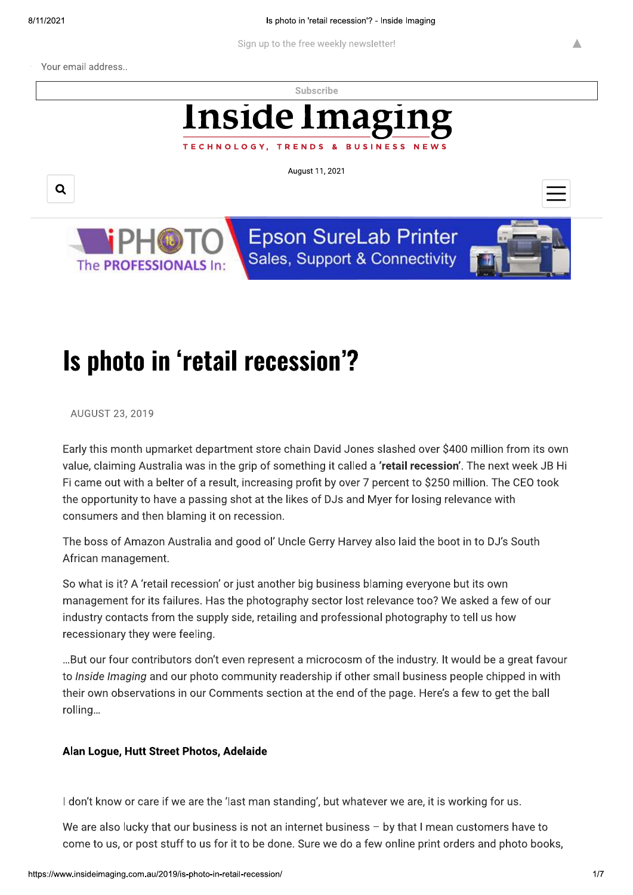**Epson SureLab Printer** 

Sales, Support & Connectivity

**BUSINESS NEWS** 

Sign up to the free weekly newsletter!

Your email address...

Subscribe

# **Inside In** TECHNOLOGY, TRENDS

August 11, 2021

Q



Δ

Is photo in 'retail recession'?

AUGUST 23, 2019

The **PROFESSIONALS** In:

Early this month upmarket department store chain David Jones slashed over \$400 million from its own value, claiming Australia was in the grip of something it called a 'retail recession'. The next week JB Hi Fi came out with a belter of a result, increasing profit by over 7 percent to \$250 million. The CEO took the opportunity to have a passing shot at the likes of DJs and Myer for losing relevance with consumers and then blaming it on recession.

The boss of Amazon Australia and good ol' Uncle Gerry Harvey also laid the boot in to DJ's South African management.

So what is it? A 'retail recession' or just another big business blaming everyone but its own management for its failures. Has the photography sector lost relevance too? We asked a few of our industry contacts from the supply side, retailing and professional photography to tell us how recessionary they were feeling.

...But our four contributors don't even represent a microcosm of the industry. It would be a great favour to Inside Imaging and our photo community readership if other small business people chipped in with their own observations in our Comments section at the end of the page. Here's a few to get the ball rolling...

# Alan Logue, Hutt Street Photos, Adelaide

I don't know or care if we are the 'last man standing', but whatever we are, it is working for us.

We are also lucky that our business is not an internet business - by that I mean customers have to come to us, or post stuff to us for it to be done. Sure we do a few online print orders and photo books,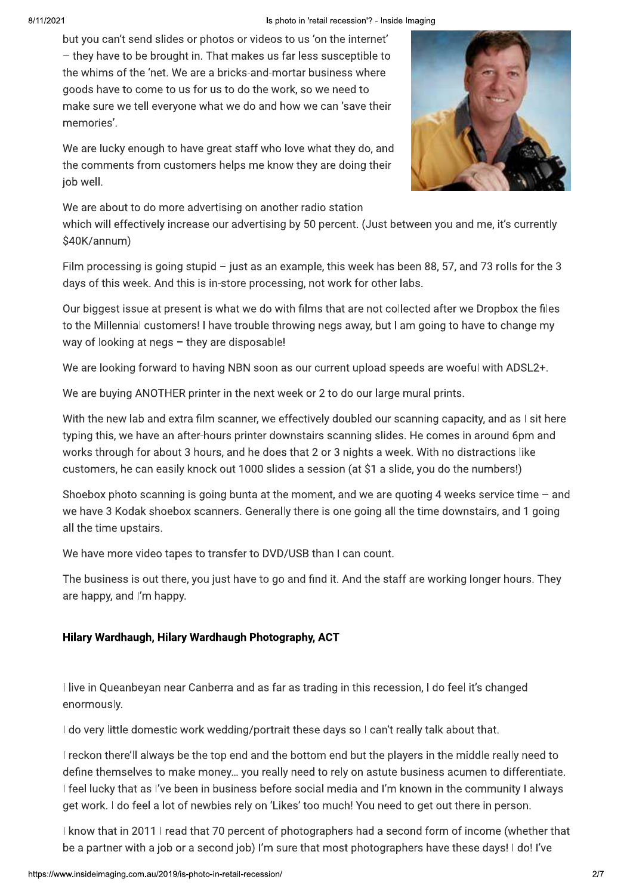### Is photo in 'retail recession'? - Inside Imaging

but you can't send slides or photos or videos to us 'on the internet' - they have to be brought in. That makes us far less susceptible to the whims of the 'net. We are a bricks-and-mortar business where goods have to come to us for us to do the work, so we need to make sure we tell everyone what we do and how we can 'save their memories'.



We are lucky enough to have great staff who love what they do, and the comments from customers helps me know they are doing their iob well.

We are about to do more advertising on another radio station

which will effectively increase our advertising by 50 percent. (Just between you and me, it's currently \$40K/annum)

Film processing is going stupid - just as an example, this week has been 88, 57, and 73 rolls for the 3 days of this week. And this is in-store processing, not work for other labs.

Our biggest issue at present is what we do with films that are not collected after we Dropbox the files to the Millennial customers! I have trouble throwing negs away, but I am going to have to change my way of looking at negs - they are disposable!

We are looking forward to having NBN soon as our current upload speeds are woeful with ADSL2+.

We are buying ANOTHER printer in the next week or 2 to do our large mural prints.

With the new lab and extra film scanner, we effectively doubled our scanning capacity, and as I sit here typing this, we have an after-hours printer downstairs scanning slides. He comes in around 6pm and works through for about 3 hours, and he does that 2 or 3 nights a week. With no distractions like customers, he can easily knock out 1000 slides a session (at \$1 a slide, you do the numbers!)

Shoebox photo scanning is going bunta at the moment, and we are quoting 4 weeks service time  $-$  and we have 3 Kodak shoebox scanners. Generally there is one going all the time downstairs, and 1 going all the time upstairs.

We have more video tapes to transfer to DVD/USB than I can count.

The business is out there, you just have to go and find it. And the staff are working longer hours. They are happy, and I'm happy.

# Hilary Wardhaugh, Hilary Wardhaugh Photography, ACT

I live in Queanbeyan near Canberra and as far as trading in this recession, I do feel it's changed enormously.

I do very little domestic work wedding/portrait these days so I can't really talk about that.

I reckon there'll always be the top end and the bottom end but the players in the middle really need to define themselves to make money... you really need to rely on astute business acumen to differentiate. I feel lucky that as I've been in business before social media and I'm known in the community I always get work. I do feel a lot of newbies rely on 'Likes' too much! You need to get out there in person.

I know that in 2011 I read that 70 percent of photographers had a second form of income (whether that be a partner with a job or a second job) I'm sure that most photographers have these days! I do! I've